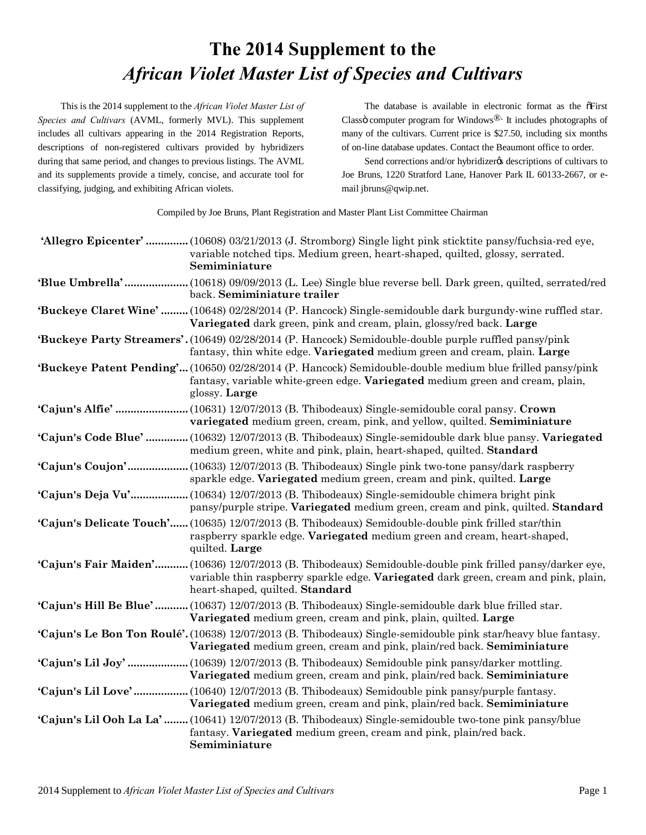## **The 2014 Supplement to the** *African Violet Master List of Species and Cultivars*

This is the 2014 supplement to the *African Violet Master List of Species and Cultivars* (AVML, formerly MVL). This supplement includes all cultivars appearing in the 2014 Registration Reports, descriptions of non-registered cultivars provided by hybridizers during that same period, and changes to previous listings. The AVML and its supplements provide a timely, concise, and accurate tool for classifying, judging, and exhibiting African violets.

The database is available in electronic format as the  $\tilde{\text{o}}$ First Classö computer program for Windows $\mathbb{R}$ . It includes photographs of many of the cultivars. Current price is \$27.50, including six months of on-line database updates. Contact the Beaumont office to order.

Send corrections and/or hybridizer ts descriptions of cultivars to Joe Bruns, 1220 Stratford Lane, Hanover Park IL 60133-2667, or email jbruns@qwip.net.

Compiled by Joe Bruns, Plant Registration and Master Plant List Committee Chairman

|                  | 'Allegro Epicenter'  (10608) 03/21/2013 (J. Stromborg) Single light pink sticktite pansy/fuchsia-red eye,<br>variable notched tips. Medium green, heart-shaped, quilted, glossy, serrated.<br>Semiminiature                         |
|------------------|-------------------------------------------------------------------------------------------------------------------------------------------------------------------------------------------------------------------------------------|
|                  | 'Blue Umbrella'  (10618) 09/09/2013 (L. Lee) Single blue reverse bell. Dark green, quilted, serrated/red<br>back. Semiminiature trailer                                                                                             |
|                  | 'Buckeye Claret Wine'  (10648) 02/28/2014 (P. Hancock) Single-semidouble dark burgundy-wine ruffled star.<br>Variegated dark green, pink and cream, plain, glossy/red back. Large                                                   |
|                  | 'Buckeye Party Streamers'. (10649) 02/28/2014 (P. Hancock) Semidouble-double purple ruffled pansy/pink<br>fantasy, thin white edge. Variegated medium green and cream, plain. Large                                                 |
|                  | 'Buckeye Patent Pending' (10650) 02/28/2014 (P. Hancock) Semidouble-double medium blue frilled pansy/pink<br>fantasy, variable white-green edge. Variegated medium green and cream, plain,<br>glossy. Large                         |
|                  | variegated medium green, cream, pink, and yellow, quilted. Semiminiature                                                                                                                                                            |
|                  | 'Cajun's Code Blue'  (10632) 12/07/2013 (B. Thibodeaux) Single-semidouble dark blue pansy. Variegated<br>medium green, white and pink, plain, heart-shaped, quilted. Standard                                                       |
| 'Cajun's Coujon' | .(10633) 12/07/2013 (B. Thibodeaux) Single pink two-tone pansy/dark raspberry<br>sparkle edge. Variegated medium green, cream and pink, quilted. Large                                                                              |
|                  | 'Cajun's Deja Vu' (10634) 12/07/2013 (B. Thibodeaux) Single-semidouble chimera bright pink<br>pansy/purple stripe. Variegated medium green, cream and pink, quilted. Standard                                                       |
|                  | 'Cajun's Delicate Touch' (10635) 12/07/2013 (B. Thibodeaux) Semidouble-double pink frilled star/thin<br>raspberry sparkle edge. Variegated medium green and cream, heart-shaped,<br>quilted. Large                                  |
|                  | 'Cajun's Fair Maiden' (10636) 12/07/2013 (B. Thibodeaux) Semidouble-double pink frilled pansy/darker eye,<br>variable thin raspberry sparkle edge. Variegated dark green, cream and pink, plain,<br>heart-shaped, quilted. Standard |
|                  | 'Cajun's Hill Be Blue'  (10637) 12/07/2013 (B. Thibodeaux) Single-semidouble dark blue frilled star.<br>Variegated medium green, cream and pink, plain, quilted. Large                                                              |
|                  | 'Cajun's Le Bon Ton Roulé'. (10638) 12/07/2013 (B. Thibodeaux) Single-semidouble pink star/heavy blue fantasy.<br>Variegated medium green, cream and pink, plain/red back. Semiminiature                                            |
|                  | Variegated medium green, cream and pink, plain/red back. Semiminiature                                                                                                                                                              |
|                  | 'Cajun's Lil Love' (10640) 12/07/2013 (B. Thibodeaux) Semidouble pink pansy/purple fantasy.<br>Variegated medium green, cream and pink, plain/red back. Semiminiature                                                               |
|                  | 'Cajun's Lil Ooh La La'(10641) 12/07/2013 (B. Thibodeaux) Single-semidouble two-tone pink pansy/blue<br>fantasy. Variegated medium green, cream and pink, plain/red back.<br>Semiminiature                                          |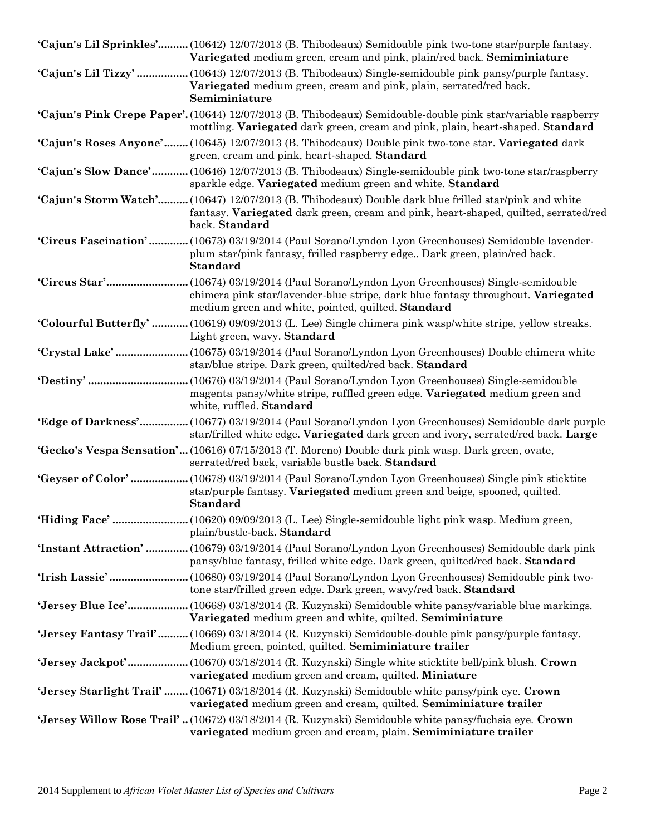| 'Cajun's Lil Sprinkles' (10642) 12/07/2013 (B. Thibodeaux) Semidouble pink two-tone star/purple fantasy.<br>Variegated medium green, cream and pink, plain/red back. Semiminiature                             |
|----------------------------------------------------------------------------------------------------------------------------------------------------------------------------------------------------------------|
| 'Cajun's Lil Tizzy'  (10643) 12/07/2013 (B. Thibodeaux) Single-semidouble pink pansy/purple fantasy.<br>Variegated medium green, cream and pink, plain, serrated/red back.<br>Semiminiature                    |
| 'Cajun's Pink Crepe Paper'. (10644) 12/07/2013 (B. Thibodeaux) Semidouble-double pink star/variable raspberry<br>mottling. Variegated dark green, cream and pink, plain, heart-shaped. Standard                |
| 'Cajun's Roses Anyone' (10645) 12/07/2013 (B. Thibodeaux) Double pink two-tone star. Variegated dark<br>green, cream and pink, heart-shaped. Standard                                                          |
| 'Cajun's Slow Dance'(10646) 12/07/2013 (B. Thibodeaux) Single-semidouble pink two-tone star/raspberry<br>sparkle edge. Variegated medium green and white. Standard                                             |
| 'Cajun's Storm Watch' (10647) 12/07/2013 (B. Thibodeaux) Double dark blue frilled star/pink and white<br>fantasy. Variegated dark green, cream and pink, heart-shaped, quilted, serrated/red<br>back. Standard |
| 'Circus Fascination' (10673) 03/19/2014 (Paul Sorano/Lyndon Lyon Greenhouses) Semidouble lavender-<br>plum star/pink fantasy, frilled raspberry edge Dark green, plain/red back.<br><b>Standard</b>            |
| chimera pink star/lavender-blue stripe, dark blue fantasy throughout. Variegated<br>medium green and white, pointed, quilted. Standard                                                                         |
| <b>Colourful Butterfly'</b> (10619) 09/09/2013 (L. Lee) Single chimera pink wasp/white stripe, yellow streaks.<br>Light green, wavy. Standard                                                                  |
| star/blue stripe. Dark green, quilted/red back. Standard                                                                                                                                                       |
| magenta pansy/white stripe, ruffled green edge. Variegated medium green and<br>white, ruffled. Standard                                                                                                        |
| 'Edge of Darkness' (10677) 03/19/2014 (Paul Sorano/Lyndon Lyon Greenhouses) Semidouble dark purple<br>star/frilled white edge. Variegated dark green and ivory, serrated/red back. Large                       |
| <b>Gecko's Vespa Sensation'</b> (10616) 07/15/2013 (T. Moreno) Double dark pink wasp. Dark green, ovate,<br>serrated/red back, variable bustle back. Standard                                                  |
| star/purple fantasy. Variegated medium green and beige, spooned, quilted.<br><b>Standard</b>                                                                                                                   |
| plain/bustle-back. Standard                                                                                                                                                                                    |
| <b>'Instant Attraction'</b> (10679) 03/19/2014 (Paul Sorano/Lyndon Lyon Greenhouses) Semidouble dark pink<br>pansy/blue fantasy, frilled white edge. Dark green, quilted/red back. Standard                    |
| tone star/frilled green edge. Dark green, wavy/red back. Standard                                                                                                                                              |
| Variegated medium green and white, quilted. Semiminiature                                                                                                                                                      |
| 'Jersey Fantasy Trail'(10669) 03/18/2014 (R. Kuzynski) Semidouble-double pink pansy/purple fantasy.<br>Medium green, pointed, quilted. Semiminiature trailer                                                   |
| variegated medium green and cream, quilted. Miniature                                                                                                                                                          |
| 'Jersey Starlight Trail'(10671) 03/18/2014 (R. Kuzynski) Semidouble white pansy/pink eye. Crown<br>variegated medium green and cream, quilted. Semiminiature trailer                                           |
| <b>Jersey Willow Rose Trail'</b> (10672) 03/18/2014 (R. Kuzynski) Semidouble white pansy/fuchsia eye. Crown<br>variegated medium green and cream, plain. Semiminiature trailer                                 |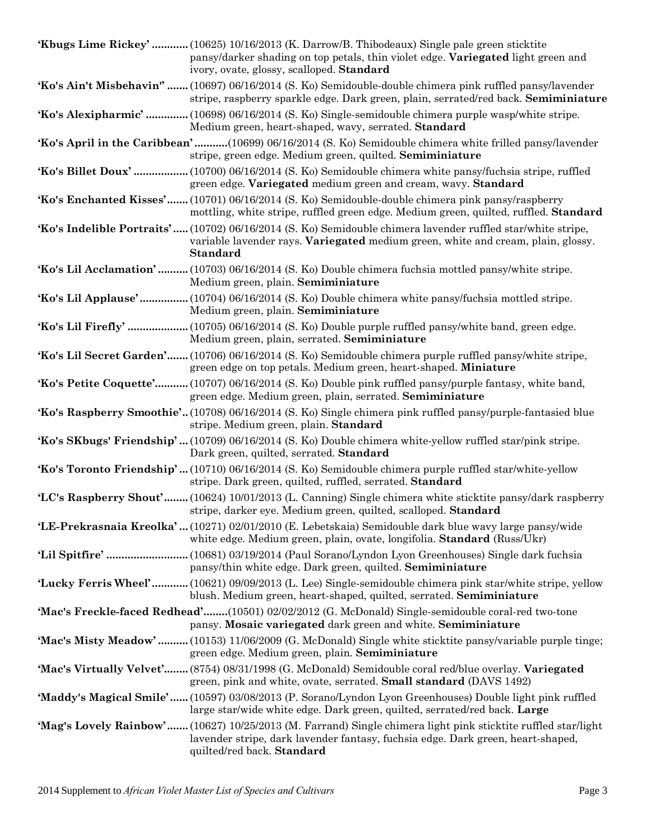| Khugs Lime Rickey'  (10625) 10/16/2013 (K. Darrow/B. Thibodeaux) Single pale green sticktite<br>pansy/darker shading on top petals, thin violet edge. Variegated light green and<br>ivory, ovate, glossy, scalloped. Standard  |
|--------------------------------------------------------------------------------------------------------------------------------------------------------------------------------------------------------------------------------|
| Ko's Ain't Misbehavin"  (10697) 06/16/2014 (S. Ko) Semidouble-double chimera pink ruffled pansy/lavender<br>stripe, raspberry sparkle edge. Dark green, plain, serrated/red back. Semiminiature                                |
| Ko's Alexipharmic'  (10698) 06/16/2014 (S. Ko) Single-semidouble chimera purple wasp/white stripe.<br>Medium green, heart-shaped, wavy, serrated. Standard                                                                     |
| Ko's April in the Caribbean'(10699) 06/16/2014 (S. Ko) Semidouble chimera white frilled pansy/lavender<br>stripe, green edge. Medium green, quilted. Semiminiature                                                             |
| green edge. Variegated medium green and cream, wavy. Standard                                                                                                                                                                  |
| Ko's Enchanted Kisses' (10701) 06/16/2014 (S. Ko) Semidouble-double chimera pink pansy/raspberry<br>mottling, white stripe, ruffled green edge. Medium green, quilted, ruffled. Standard                                       |
| 'Ko's Indelible Portraits' (10702) 06/16/2014 (S. Ko) Semidouble chimera lavender ruffled star/white stripe,<br>variable lavender rays. Variegated medium green, white and cream, plain, glossy.<br><b>Standard</b>            |
| <b>Ko's Lil Acclamation'</b> (10703) 06/16/2014 (S. Ko) Double chimera fuchsia mottled pansy/white stripe.<br>Medium green, plain. Semiminiature                                                                               |
| <b>Ko's Lil Applause'</b> (10704) 06/16/2014 (S. Ko) Double chimera white pansy/fuchsia mottled stripe.<br>Medium green, plain. Semiminiature                                                                                  |
| Ko's Lil Firefly'  (10705) 06/16/2014 (S. Ko) Double purple ruffled pansy/white band, green edge.<br>Medium green, plain, serrated. Semiminiature                                                                              |
| <b>Ko's Lil Secret Garden'</b> (10706) 06/16/2014 (S. Ko) Semidouble chimera purple ruffled pansy/white stripe,<br>green edge on top petals. Medium green, heart-shaped. Miniature                                             |
| <b>Ko's Petite Coquette'</b> (10707) 06/16/2014 (S. Ko) Double pink ruffled pansy/purple fantasy, white band,<br>green edge. Medium green, plain, serrated. Semiminiature                                                      |
| Ko's Raspberry Smoothie'(10708) 06/16/2014 (S. Ko) Single chimera pink ruffled pansy/purple-fantasied blue<br>stripe. Medium green, plain. Standard                                                                            |
| 'Ko's SKbugs' Friendship' (10709) 06/16/2014 (S. Ko) Double chimera white-yellow ruffled star/pink stripe.<br>Dark green, quilted, serrated. Standard                                                                          |
| Ko's Toronto Friendship' (10710) 06/16/2014 (S. Ko) Semidouble chimera purple ruffled star/white-yellow<br>stripe. Dark green, quilted, ruffled, serrated. Standard                                                            |
| 'LC's Raspberry Shout' (10624) 10/01/2013 (L. Canning) Single chimera white sticktite pansy/dark raspberry<br>stripe, darker eye. Medium green, quilted, scalloped. Standard                                                   |
| 'LE-Prekrasnaia Kreolka'  (10271) 02/01/2010 (E. Lebetskaia) Semidouble dark blue wavy large pansy/wide<br>white edge. Medium green, plain, ovate, longifolia. <b>Standard</b> (Russ/Ukr)                                      |
| pansy/thin white edge. Dark green, quilted. Semiminiature                                                                                                                                                                      |
| Lucky Ferris Wheel'(10621) 09/09/2013 (L. Lee) Single-semidouble chimera pink star/white stripe, yellow<br>blush. Medium green, heart-shaped, quilted, serrated. Semiminiature                                                 |
| Mac's Freckle-faced Redhead'(10501) 02/02/2012 (G. McDonald) Single-semidouble coral-red two-tone<br>pansy. Mosaic variegated dark green and white. Semiminiature                                                              |
| <b>'Mac's Misty Meadow'</b> (10153) 11/06/2009 (G. McDonald) Single white sticktite pansy/variable purple tinge;<br>green edge. Medium green, plain. Semiminiature                                                             |
| 'Mac's Virtually Velvet' (8754) 08/31/1998 (G. McDonald) Semidouble coral red/blue overlay. Variegated<br>green, pink and white, ovate, serrated. Small standard (DAVS 1492)                                                   |
| 'Maddy's Magical Smile' (10597) 03/08/2013 (P. Sorano/Lyndon Lyon Greenhouses) Double light pink ruffled<br>large star/wide white edge. Dark green, quilted, serrated/red back. Large                                          |
| 'Mag's Lovely Rainbow' (10627) 10/25/2013 (M. Farrand) Single chimera light pink sticktite ruffled star/light<br>lavender stripe, dark lavender fantasy, fuchsia edge. Dark green, heart-shaped,<br>quilted/red back. Standard |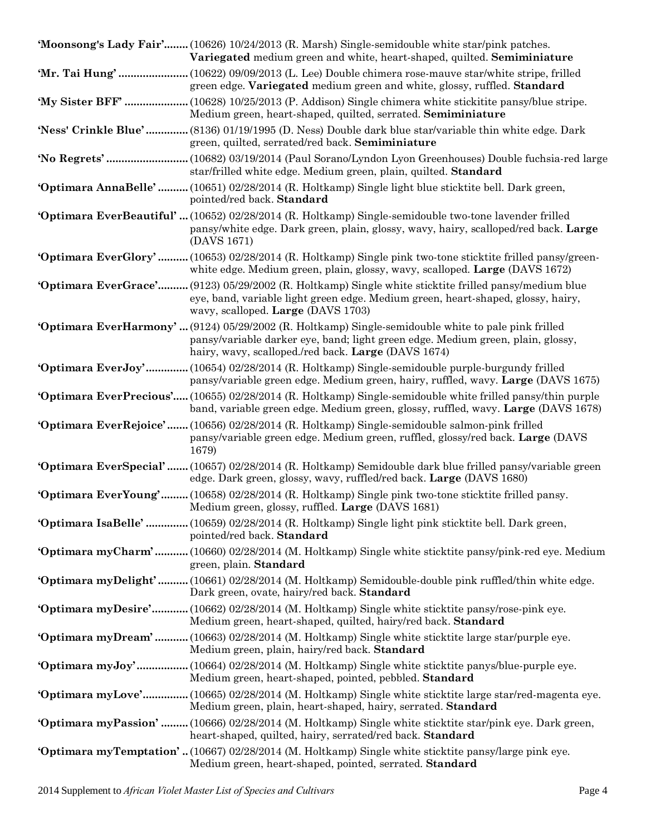| 'Moonsong's Lady Fair' (10626) 10/24/2013 (R. Marsh) Single-semidouble white star/pink patches.<br>Variegated medium green and white, heart-shaped, quilted. Semiminiature                                                                          |
|-----------------------------------------------------------------------------------------------------------------------------------------------------------------------------------------------------------------------------------------------------|
| green edge. Variegated medium green and white, glossy, ruffled. Standard                                                                                                                                                                            |
| 'My Sister BFF'  (10628) 10/25/2013 (P. Addison) Single chimera white stickitite pansy/blue stripe.<br>Medium green, heart-shaped, quilted, serrated. Semiminiature                                                                                 |
| <b>Ness' Crinkle Blue'</b> (8136) 01/19/1995 (D. Ness) Double dark blue star/variable thin white edge. Dark<br>green, quilted, serrated/red back. Semiminiature                                                                                     |
| star/frilled white edge. Medium green, plain, quilted. Standard                                                                                                                                                                                     |
| 'Optimara AnnaBelle'  (10651) 02/28/2014 (R. Holtkamp) Single light blue sticktite bell. Dark green,<br>pointed/red back. Standard                                                                                                                  |
| <b>Optimara EverBeautiful'</b> (10652) 02/28/2014 (R. Holtkamp) Single-semidouble two-tone lavender frilled<br>pansy/white edge. Dark green, plain, glossy, wavy, hairy, scalloped/red back. Large<br>(DAVS 1671)                                   |
| <b>Optimara EverGlory'</b> (10653) 02/28/2014 (R. Holtkamp) Single pink two-tone sticktite frilled pansy/green-<br>white edge. Medium green, plain, glossy, wavy, scalloped. Large (DAVS 1672)                                                      |
| 'Optimara EverGrace' (9123) 05/29/2002 (R. Holtkamp) Single white sticktite frilled pansy/medium blue<br>eye, band, variable light green edge. Medium green, heart-shaped, glossy, hairy,<br>wavy, scalloped. Large (DAVS 1703)                     |
| <b>Optimara EverHarmony'</b> (9124) 05/29/2002 (R. Holtkamp) Single-semidouble white to pale pink frilled<br>pansy/variable darker eye, band; light green edge. Medium green, plain, glossy,<br>hairy, wavy, scalloped./red back. Large (DAVS 1674) |
| <b>Optimara EverJoy'</b> (10654) 02/28/2014 (R. Holtkamp) Single-semidouble purple-burgundy frilled<br>pansy/variable green edge. Medium green, hairy, ruffled, wavy. Large (DAVS 1675)                                                             |
| 'Optimara EverPrecious' (10655) 02/28/2014 (R. Holtkamp) Single-semidouble white frilled pansy/thin purple<br>band, variable green edge. Medium green, glossy, ruffled, wavy. Large (DAVS 1678)                                                     |
| <b>Optimara EverRejoice'</b> (10656) 02/28/2014 (R. Holtkamp) Single-semidouble salmon-pink frilled<br>pansy/variable green edge. Medium green, ruffled, glossy/red back. Large (DAVS<br>1679)                                                      |
| 'Optimara EverSpecial' (10657) 02/28/2014 (R. Holtkamp) Semidouble dark blue frilled pansy/variable green<br>edge. Dark green, glossy, wavy, ruffled/red back. Large (DAVS 1680)                                                                    |
| <b>Optimara EverYoung'</b> (10658) 02/28/2014 (R. Holtkamp) Single pink two-tone sticktite frilled pansy.<br>Medium green, glossy, ruffled. Large (DAVS 1681)                                                                                       |
| 'Optimara IsaBelle'  (10659) 02/28/2014 (R. Holtkamp) Single light pink sticktite bell. Dark green,<br>pointed/red back. Standard                                                                                                                   |
| <b>Optimara myCharm'</b> (10660) 02/28/2014 (M. Holtkamp) Single white sticktite pansy/pink-red eye. Medium<br>green, plain. Standard                                                                                                               |
| <b>Optimara myDelight'</b> (10661) 02/28/2014 (M. Holtkamp) Semidouble-double pink ruffled/thin white edge.<br>Dark green, ovate, hairy/red back. Standard                                                                                          |
| <b>Optimara myDesire'</b> (10662) 02/28/2014 (M. Holtkamp) Single white sticktite pansy/rose-pink eye.<br>Medium green, heart-shaped, quilted, hairy/red back. Standard                                                                             |
| <b>Optimara myDream'</b> (10663) 02/28/2014 (M. Holtkamp) Single white sticktite large star/purple eye.<br>Medium green, plain, hairy/red back. Standard                                                                                            |
| <b>Optimara myJoy'</b> (10664) 02/28/2014 (M. Holtkamp) Single white sticktite panys/blue-purple eye.<br>Medium green, heart-shaped, pointed, pebbled. Standard                                                                                     |
| <b>Optimara myLove'</b> (10665) 02/28/2014 (M. Holtkamp) Single white sticktite large star/red-magenta eye.<br>Medium green, plain, heart-shaped, hairy, serrated. Standard                                                                         |
| <b>Optimara myPassion'</b> (10666) 02/28/2014 (M. Holtkamp) Single white sticktite star/pink eye. Dark green,<br>heart-shaped, quilted, hairy, serrated/red back. Standard                                                                          |
| <b>Optimara myTemptation'</b> (10667) 02/28/2014 (M. Holtkamp) Single white sticktite pansy/large pink eye.<br>Medium green, heart-shaped, pointed, serrated. Standard                                                                              |